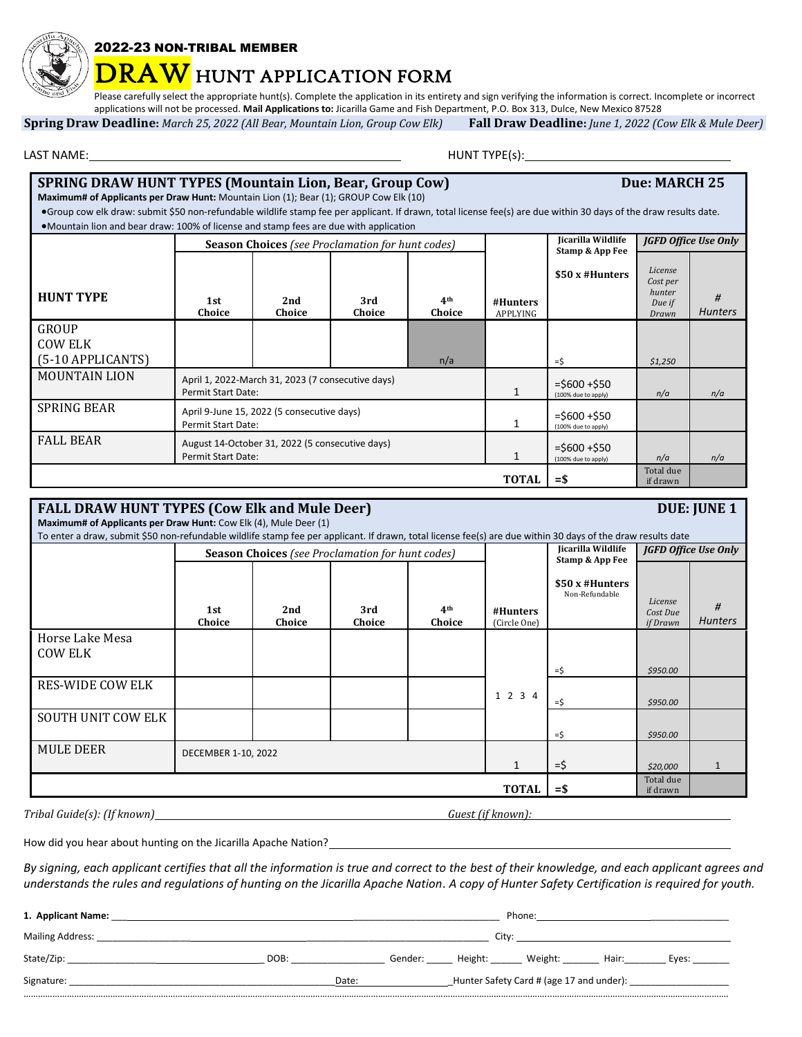

## 2022-23 NON-TRIBAL MEMBER

## **RAW** HUNT APPLICATION FORM

Please carefully select the appropriate hunt(s). Complete the application in its entirety and sign verifying the information is correct. Incomplete or incorrect applications will not be processed. **Mail Applications to:** Jicarilla Game and Fish Department, P.O. Box 313, Dulce, New Mexico 87528

**Spring Draw Deadline:** *March 25, 2022 (All Bear, Mountain Lion, Group Cow Elk)* **Fall Draw Deadline:** *June 1, 2022 (Cow Elk & Mule Deer)*

LAST NAME: HUNT TYPE(s):

| <b>SPRING DRAW HUNT TYPES (Mountain Lion, Bear, Group Cow)</b><br>Maximum# of Applicants per Draw Hunt: Mountain Lion (1); Bear (1); GROUP Cow Elk (10)            |                                                                                                                                                  |                                                                              |               |                           |                                        |                                       | Due: MARCH 25                                    |                     |
|--------------------------------------------------------------------------------------------------------------------------------------------------------------------|--------------------------------------------------------------------------------------------------------------------------------------------------|------------------------------------------------------------------------------|---------------|---------------------------|----------------------------------------|---------------------------------------|--------------------------------------------------|---------------------|
| • Group cow elk draw: submit \$50 non-refundable wildlife stamp fee per applicant. If drawn, total license fee(s) are due within 30 days of the draw results date. |                                                                                                                                                  |                                                                              |               |                           |                                        |                                       |                                                  |                     |
|                                                                                                                                                                    | •Mountain lion and bear draw: 100% of license and stamp fees are due with application<br><b>Season Choices</b> (see Proclamation for hunt codes) |                                                                              |               |                           |                                        | Jicarilla Wildlife<br>Stamp & App Fee | <b>JGFD Office Use Only</b>                      |                     |
| <b>HUNT TYPE</b>                                                                                                                                                   | 1st<br>Choice                                                                                                                                    | 2nd<br>Choice                                                                | 3rd<br>Choice | 4 <sup>th</sup><br>Choice | #Hunters<br><b>APPLYING</b>            | $$50x$ #Hunters                       | License<br>Cost per<br>hunter<br>Due if<br>Drawn | #<br><b>Hunters</b> |
| GROUP<br>COW ELK<br>(5-10 APPLICANTS)                                                                                                                              |                                                                                                                                                  |                                                                              |               | n/a                       |                                        | $=$ \$                                | \$1,250                                          |                     |
| <b>MOUNTAIN LION</b>                                                                                                                                               | <b>Permit Start Date:</b>                                                                                                                        | April 1, 2022-March 31, 2023 (7 consecutive days)                            |               |                           | $= $600 + $50$<br>(100% due to apply)  | n/a                                   | n/a                                              |                     |
| <b>SPRING BEAR</b>                                                                                                                                                 | Permit Start Date:                                                                                                                               | April 9-June 15, 2022 (5 consecutive days)                                   |               |                           | $=$ \$600 +\$50<br>(100% due to apply) |                                       |                                                  |                     |
| <b>FALL BEAR</b>                                                                                                                                                   |                                                                                                                                                  | August 14-October 31, 2022 (5 consecutive days)<br><b>Permit Start Date:</b> |               |                           |                                        | $= $600 + $50$<br>(100% due to apply) | n/a                                              | n/a                 |
|                                                                                                                                                                    |                                                                                                                                                  |                                                                              |               |                           | <b>TOTAL</b>                           | $=$ \$                                | Total due<br>if drawn                            |                     |

| <b>FALL DRAW HUNT TYPES (Cow Elk and Mule Deer)</b><br>Maximum# of Applicants per Draw Hunt: Cow Elk (4), Mule Deer (1) |                                                                                                                                                                                                                         |               |               |                           |                          |                                              |                                 | <b>DUE: JUNE 1</b>  |
|-------------------------------------------------------------------------------------------------------------------------|-------------------------------------------------------------------------------------------------------------------------------------------------------------------------------------------------------------------------|---------------|---------------|---------------------------|--------------------------|----------------------------------------------|---------------------------------|---------------------|
|                                                                                                                         | To enter a draw, submit \$50 non-refundable wildlife stamp fee per applicant. If drawn, total license fee(s) are due within 30 days of the draw results date<br><b>Season Choices</b> (see Proclamation for hunt codes) |               |               |                           |                          | <b>Iicarilla Wildlife</b><br>Stamp & App Fee | <b>JGFD Office Use Only</b>     |                     |
|                                                                                                                         | 1st<br>Choice                                                                                                                                                                                                           | 2nd<br>Choice | 3rd<br>Choice | 4 <sup>th</sup><br>Choice | #Hunters<br>(Circle One) | $$50x$ #Hunters<br>Non-Refundable            | License<br>Cost Due<br>if Drawn | #<br><b>Hunters</b> |
| Horse Lake Mesa<br><b>COW ELK</b>                                                                                       |                                                                                                                                                                                                                         |               |               |                           |                          | =\$                                          | \$950.00                        |                     |
| <b>RES-WIDE COW ELK</b>                                                                                                 |                                                                                                                                                                                                                         |               |               |                           | 1 2 3 4                  | $=$ \$                                       | \$950.00                        |                     |
| <b>SOUTH UNIT COW ELK</b>                                                                                               |                                                                                                                                                                                                                         |               |               |                           |                          | $=$ \$                                       | \$950.00                        |                     |
| <b>MULE DEER</b>                                                                                                        | DECEMBER 1-10, 2022                                                                                                                                                                                                     |               |               |                           |                          | =\$                                          | \$20,000                        | 1                   |
|                                                                                                                         |                                                                                                                                                                                                                         |               |               |                           | <b>TOTAL</b>             | $=$ \$                                       | Total due<br>if drawn           |                     |
| Tribal Guide(s): (If known)_                                                                                            |                                                                                                                                                                                                                         |               |               |                           | Guest (if known):        |                                              |                                 |                     |

How did you hear about hunting on the Jicarilla Apache Nation?\_\_\_\_\_\_

*By signing, each applicant certifies that all the information is true and correct to the best of their knowledge, and each applicant agrees and understands the rules and regulations of hunting on the Jicarilla Apache Nation. A copy of Hunter Safety Certification is required for youth.*

| 1. Applicant Name:      |       |                                                   |         | Phone:  |         |       |       |  |
|-------------------------|-------|---------------------------------------------------|---------|---------|---------|-------|-------|--|
| <b>Mailing Address:</b> | Citv: |                                                   |         |         |         |       |       |  |
| State/Zip:              | DOB:  |                                                   | Gender: | Height: | Weight: | Hair: | Eyes: |  |
| Signature:              |       | Hunter Safety Card # (age 17 and under):<br>Date: |         |         |         |       |       |  |